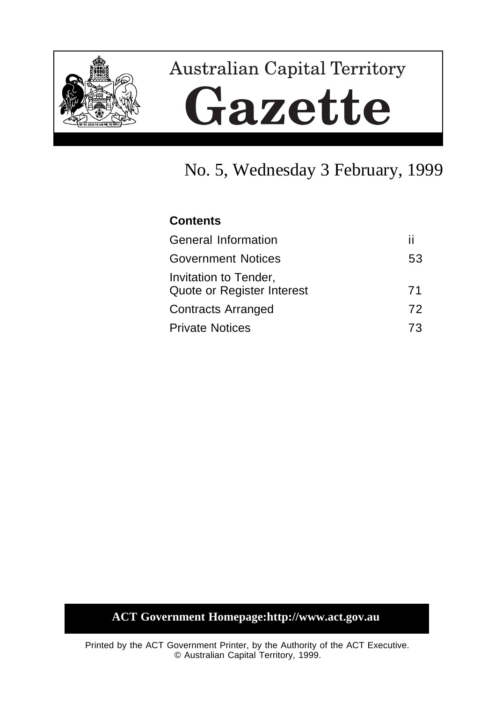

# **Australian Capital Territory** Gazette

# No. 5, Wednesday 3 February, 1999

# **Contents**

| п  |
|----|
| 53 |
| 71 |
| 72 |
| 73 |
|    |

# **ACT Government Homepage:http://www.act.gov.au**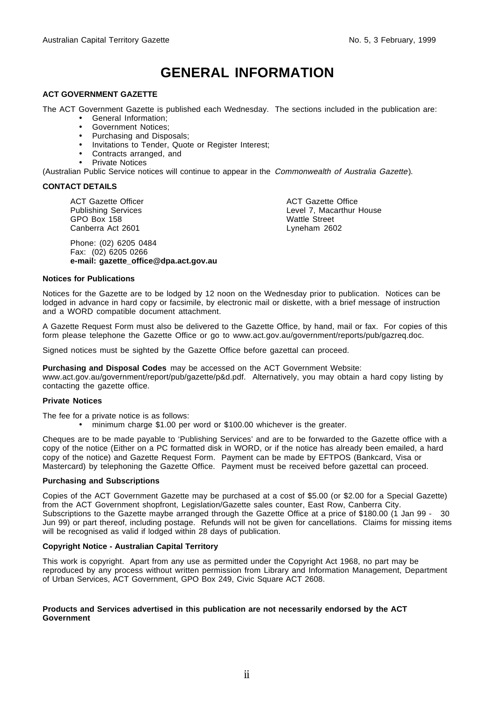# **GENERAL INFORMATION**

#### **ACT GOVERNMENT GAZETTE**

The ACT Government Gazette is published each Wednesday. The sections included in the publication are:

- General Information;
- Government Notices;
- Purchasing and Disposals;
- Invitations to Tender, Quote or Register Interest;
- Contracts arranged, and
- Private Notices

(Australian Public Service notices will continue to appear in the Commonwealth of Australia Gazette).

#### **CONTACT DETAILS**

ACT Gazette Officer Publishing Services GPO Box 158 Canberra Act 2601

Phone: (02) 6205 0484 Fax: (02) 6205 0266 **e-mail: gazette\_office@dpa.act.gov.au** ACT Gazette Office Level 7, Macarthur House Wattle Street Lyneham 2602

#### **Notices for Publications**

Notices for the Gazette are to be lodged by 12 noon on the Wednesday prior to publication. Notices can be lodged in advance in hard copy or facsimile, by electronic mail or diskette, with a brief message of instruction and a WORD compatible document attachment.

A Gazette Request Form must also be delivered to the Gazette Office, by hand, mail or fax. For copies of this form please telephone the Gazette Office or go to www.act.gov.au/government/reports/pub/gazreq.doc.

Signed notices must be sighted by the Gazette Office before gazettal can proceed.

**Purchasing and Disposal Codes** may be accessed on the ACT Government Website:

www.act.gov.au/government/report/pub/gazette/p&d.pdf. Alternatively, you may obtain a hard copy listing by contacting the gazette office.

#### **Private Notices**

The fee for a private notice is as follows:

• minimum charge \$1.00 per word or \$100.00 whichever is the greater.

Cheques are to be made payable to 'Publishing Services' and are to be forwarded to the Gazette office with a copy of the notice (Either on a PC formatted disk in WORD, or if the notice has already been emailed, a hard copy of the notice) and Gazette Request Form. Payment can be made by EFTPOS (Bankcard, Visa or Mastercard) by telephoning the Gazette Office. Payment must be received before gazettal can proceed.

#### **Purchasing and Subscriptions**

Copies of the ACT Government Gazette may be purchased at a cost of \$5.00 (or \$2.00 for a Special Gazette) from the ACT Government shopfront, Legislation/Gazette sales counter, East Row, Canberra City. Subscriptions to the Gazette maybe arranged through the Gazette Office at a price of \$180.00 (1 Jan 99 - 30 Jun 99) or part thereof, including postage. Refunds will not be given for cancellations. Claims for missing items will be recognised as valid if lodged within 28 days of publication.

#### **Copyright Notice - Australian Capital Territory**

This work is copyright. Apart from any use as permitted under the Copyright Act 1968, no part may be reproduced by any process without written permission from Library and Information Management, Department of Urban Services, ACT Government, GPO Box 249, Civic Square ACT 2608.

#### **Products and Services advertised in this publication are not necessarily endorsed by the ACT Government**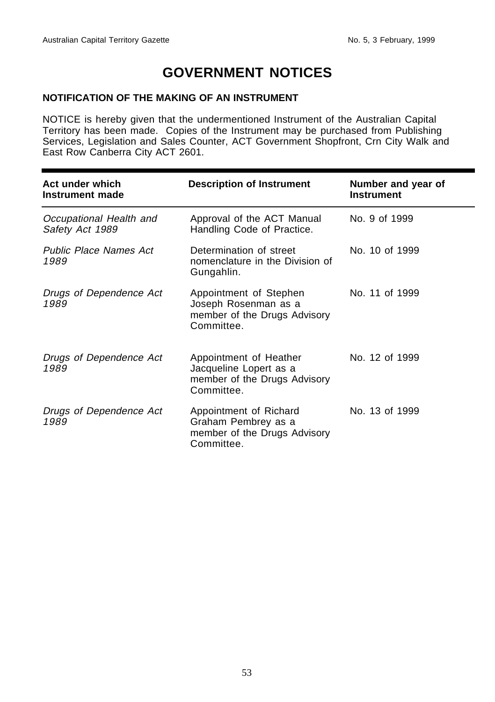# **GOVERNMENT NOTICES**

### **NOTIFICATION OF THE MAKING OF AN INSTRUMENT**

NOTICE is hereby given that the undermentioned Instrument of the Australian Capital Territory has been made. Copies of the Instrument may be purchased from Publishing Services, Legislation and Sales Counter, ACT Government Shopfront, Crn City Walk and East Row Canberra City ACT 2601.

| Act under which<br>Instrument made         | <b>Description of Instrument</b>                                                               | Number and year of<br><b>Instrument</b> |
|--------------------------------------------|------------------------------------------------------------------------------------------------|-----------------------------------------|
| Occupational Health and<br>Safety Act 1989 | Approval of the ACT Manual<br>Handling Code of Practice.                                       | No. 9 of 1999                           |
| <b>Public Place Names Act</b><br>1989      | Determination of street<br>nomenclature in the Division of<br>Gungahlin.                       | No. 10 of 1999                          |
| Drugs of Dependence Act<br>1989            | Appointment of Stephen<br>Joseph Rosenman as a<br>member of the Drugs Advisory<br>Committee.   | No. 11 of 1999                          |
| Drugs of Dependence Act<br>1989            | Appointment of Heather<br>Jacqueline Lopert as a<br>member of the Drugs Advisory<br>Committee. | No. 12 of 1999                          |
| Drugs of Dependence Act<br>1989            | Appointment of Richard<br>Graham Pembrey as a<br>member of the Drugs Advisory<br>Committee.    | No. 13 of 1999                          |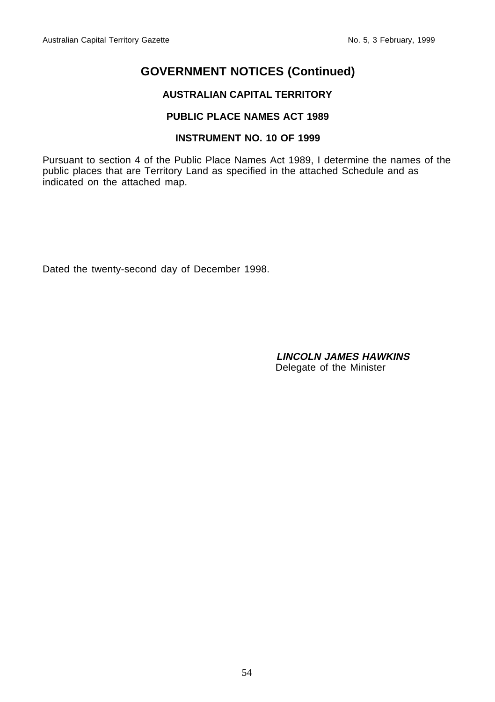# **AUSTRALIAN CAPITAL TERRITORY**

# **PUBLIC PLACE NAMES ACT 1989**

# **INSTRUMENT NO. 10 OF 1999**

Pursuant to section 4 of the Public Place Names Act 1989, I determine the names of the public places that are Territory Land as specified in the attached Schedule and as indicated on the attached map.

Dated the twenty-second day of December 1998.

**LINCOLN JAMES HAWKINS** Delegate of the Minister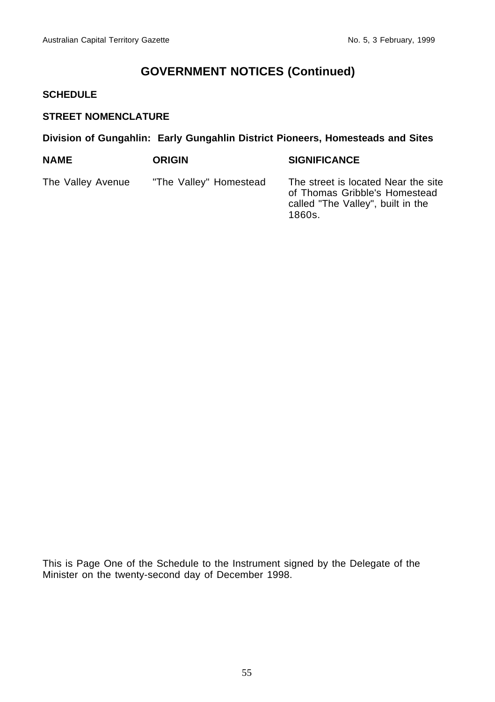#### **SCHEDULE**

# **STREET NOMENCLATURE**

# **Division of Gungahlin: Early Gungahlin District Pioneers, Homesteads and Sites**

| <b>NAME</b>       | <b>ORIGIN</b>          | <b>SIGNIFICANCE</b>                                                                                                 |
|-------------------|------------------------|---------------------------------------------------------------------------------------------------------------------|
| The Valley Avenue | "The Valley" Homestead | The street is located Near the site<br>of Thomas Gribble's Homestead<br>called "The Valley", built in the<br>1860s. |

This is Page One of the Schedule to the Instrument signed by the Delegate of the Minister on the twenty-second day of December 1998.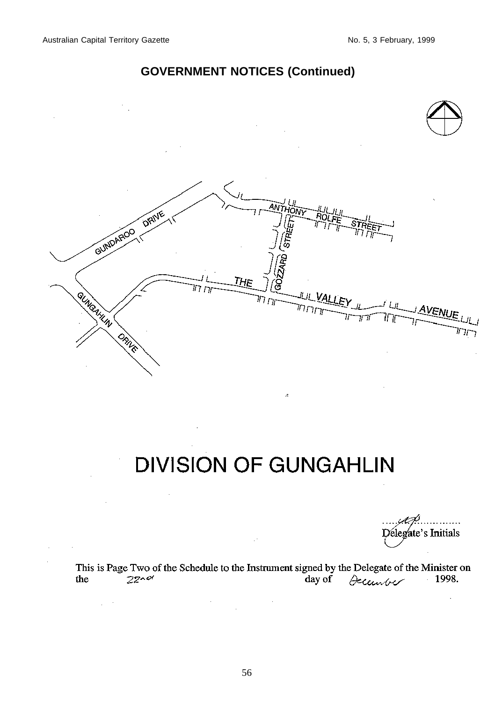$\mathcal{L}_{\mathcal{A}}$ 

# **GOVERNMENT NOTICES (Continued)**



# **DIVISION OF GUNGAHLIN**

À

. . . . Délegate's Initials

This is Page Two of the Schedule to the Instrument signed by the Delegate of the Minister on<br>the 2z $\sim$  2set day of  $\theta$  control 1998.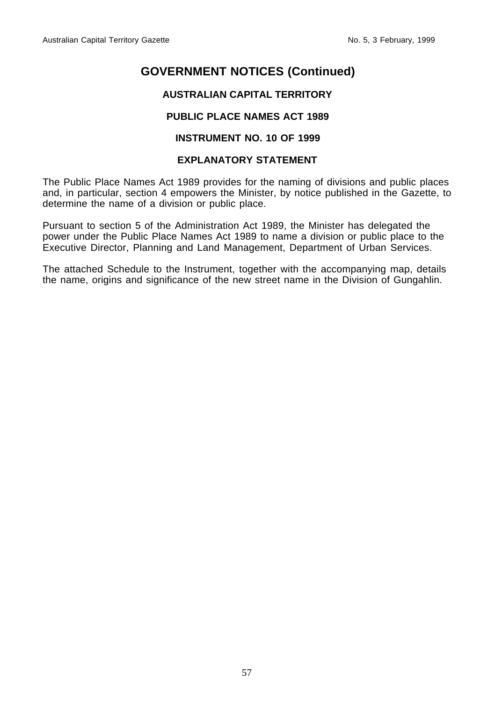# **AUSTRALIAN CAPITAL TERRITORY**

# **PUBLIC PLACE NAMES ACT 1989**

#### **INSTRUMENT NO. 10 OF 1999**

#### **EXPLANATORY STATEMENT**

The Public Place Names Act 1989 provides for the naming of divisions and public places and, in particular, section 4 empowers the Minister, by notice published in the Gazette, to determine the name of a division or public place.

Pursuant to section 5 of the Administration Act 1989, the Minister has delegated the power under the Public Place Names Act 1989 to name a division or public place to the Executive Director, Planning and Land Management, Department of Urban Services.

The attached Schedule to the Instrument, together with the accompanying map, details the name, origins and significance of the new street name in the Division of Gungahlin.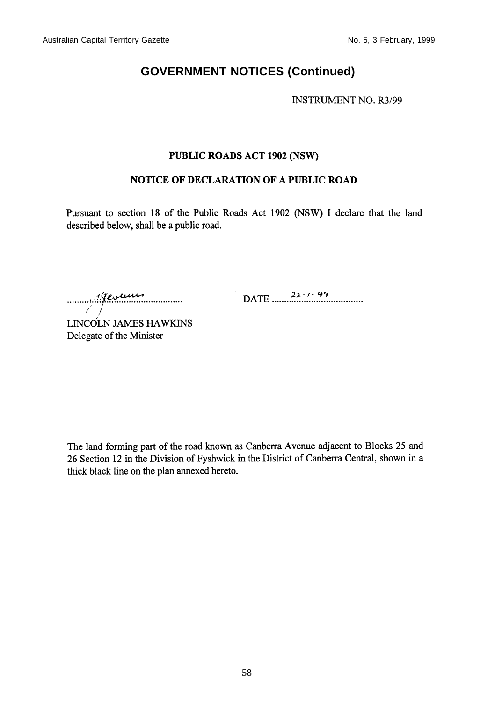**INSTRUMENT NO. R3/99** 

#### PUBLIC ROADS ACT 1902 (NSW)

#### NOTICE OF DECLARATION OF A PUBLIC ROAD

Pursuant to section 18 of the Public Roads Act 1902 (NSW) I declare that the land described below, shall be a public road.

 $\frac{22.1.99}{22.1.99}$ 

LINCOLN JAMES HAWKINS Delegate of the Minister

The land forming part of the road known as Canberra Avenue adjacent to Blocks 25 and 26 Section 12 in the Division of Fyshwick in the District of Canberra Central, shown in a thick black line on the plan annexed hereto.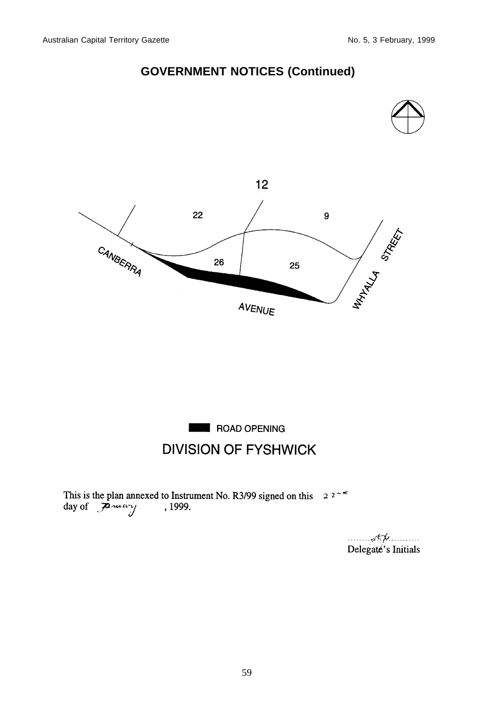





This is the plan annexed to Instrument No. R3/99 signed on this  $2.2 \times 8$ <br>day of  $2.2 \times 1999$ .

 $\overline{A}$ Delegate's Initials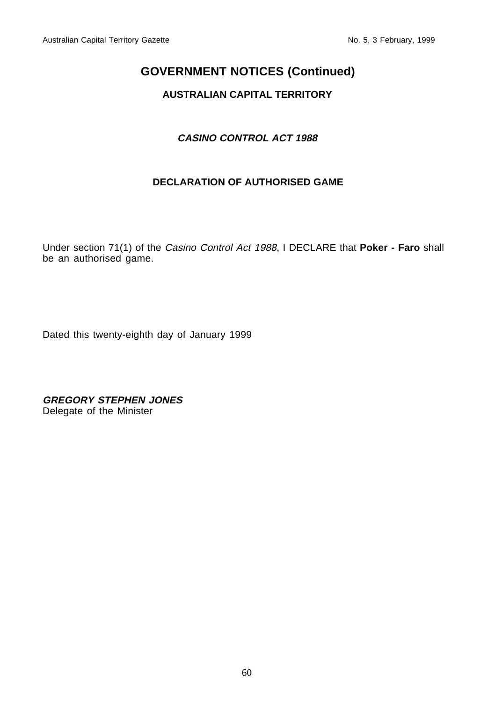# **AUSTRALIAN CAPITAL TERRITORY**

# **CASINO CONTROL ACT 1988**

# **DECLARATION OF AUTHORISED GAME**

Under section 71(1) of the Casino Control Act 1988, I DECLARE that **Poker - Faro** shall be an authorised game.

Dated this twenty-eighth day of January 1999

**GREGORY STEPHEN JONES** Delegate of the Minister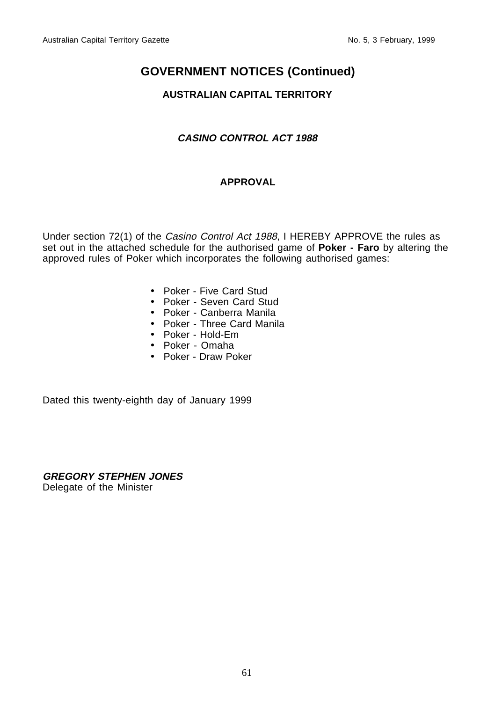# **AUSTRALIAN CAPITAL TERRITORY**

# **CASINO CONTROL ACT 1988**

# **APPROVAL**

Under section 72(1) of the Casino Control Act 1988, I HEREBY APPROVE the rules as set out in the attached schedule for the authorised game of **Poker - Faro** by altering the approved rules of Poker which incorporates the following authorised games:

- Poker Five Card Stud
- Poker Seven Card Stud
- Poker Canberra Manila
- Poker Three Card Manila
- Poker Hold-Em
- Poker Omaha
- Poker Draw Poker

Dated this twenty-eighth day of January 1999

**GREGORY STEPHEN JONES** Delegate of the Minister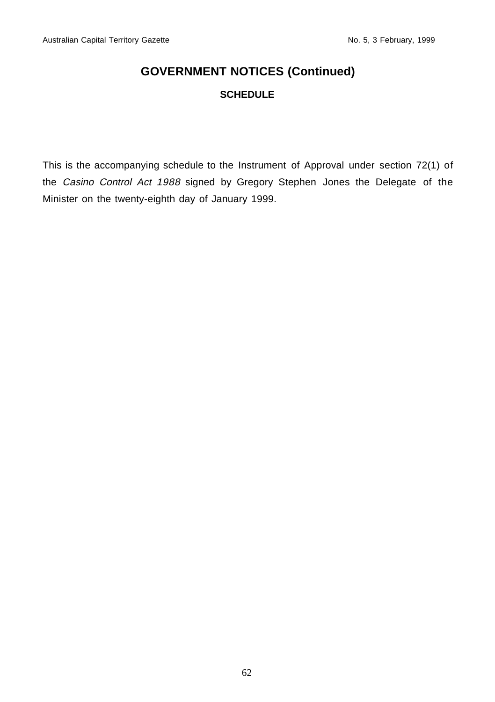# **SCHEDULE**

This is the accompanying schedule to the Instrument of Approval under section 72(1) of the Casino Control Act 1988 signed by Gregory Stephen Jones the Delegate of the Minister on the twenty-eighth day of January 1999.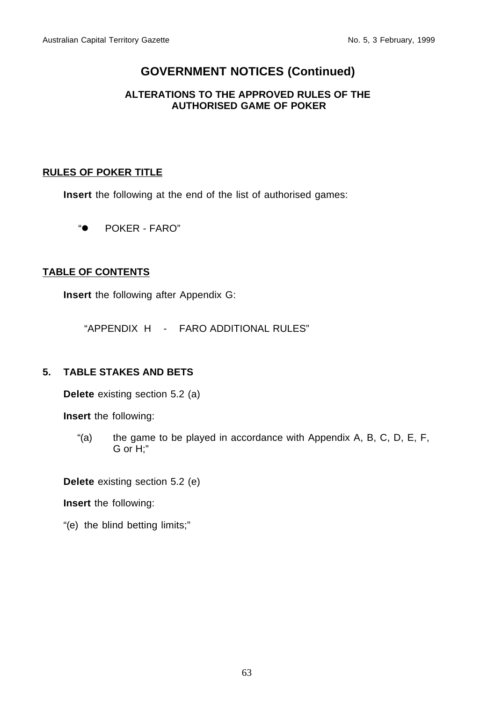# **ALTERATIONS TO THE APPROVED RULES OF THE AUTHORISED GAME OF POKER**

# **RULES OF POKER TITLE**

**Insert** the following at the end of the list of authorised games:

"• POKER - FARO"

# **TABLE OF CONTENTS**

**Insert** the following after Appendix G:

"APPENDIX H - FARO ADDITIONAL RULES"

# **5. TABLE STAKES AND BETS**

**Delete** existing section 5.2 (a)

**Insert** the following:

"(a) the game to be played in accordance with Appendix A, B, C, D, E, F, G or H;"

**Delete** existing section 5.2 (e)

**Insert** the following:

"(e) the blind betting limits;"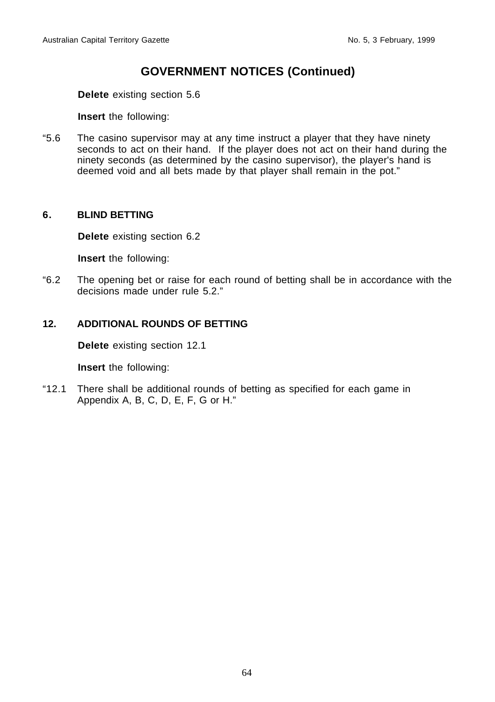**Delete** existing section 5.6

**Insert** the following:

"5.6 The casino supervisor may at any time instruct a player that they have ninety seconds to act on their hand. If the player does not act on their hand during the ninety seconds (as determined by the casino supervisor), the player's hand is deemed void and all bets made by that player shall remain in the pot."

### **6. BLIND BETTING**

**Delete** existing section 6.2

**Insert** the following:

"6.2 The opening bet or raise for each round of betting shall be in accordance with the decisions made under rule 5.2."

# **12. ADDITIONAL ROUNDS OF BETTING**

**Delete** existing section 12.1

**Insert** the following:

"12.1 There shall be additional rounds of betting as specified for each game in Appendix A, B, C, D, E, F, G or H."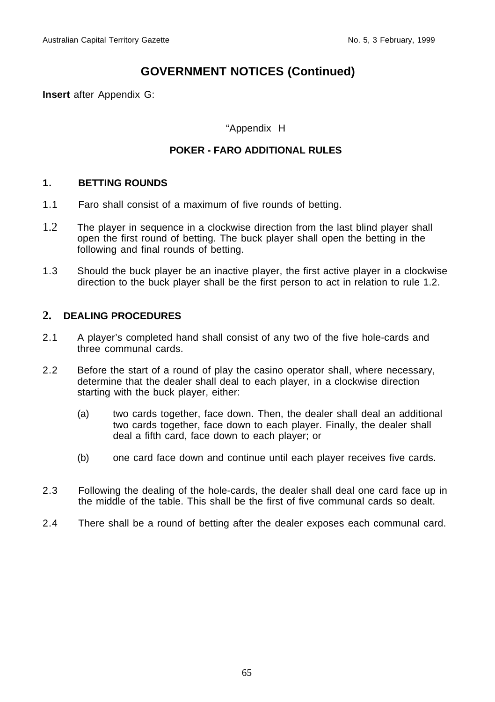**Insert** after Appendix G:

### "Appendix H

# **POKER - FARO ADDITIONAL RULES**

#### **1. BETTING ROUNDS**

- 1.1 Faro shall consist of a maximum of five rounds of betting.
- 1.2 The player in sequence in a clockwise direction from the last blind player shall open the first round of betting. The buck player shall open the betting in the following and final rounds of betting.
- 1.3 Should the buck player be an inactive player, the first active player in a clockwise direction to the buck player shall be the first person to act in relation to rule 1.2.

### **2. DEALING PROCEDURES**

- 2.1 A player's completed hand shall consist of any two of the five hole-cards and three communal cards.
- 2.2 Before the start of a round of play the casino operator shall, where necessary, determine that the dealer shall deal to each player, in a clockwise direction starting with the buck player, either:
	- (a) two cards together, face down. Then, the dealer shall deal an additional two cards together, face down to each player. Finally, the dealer shall deal a fifth card, face down to each player; or
	- (b) one card face down and continue until each player receives five cards.
- 2.3 Following the dealing of the hole-cards, the dealer shall deal one card face up in the middle of the table. This shall be the first of five communal cards so dealt.
- 2.4 There shall be a round of betting after the dealer exposes each communal card.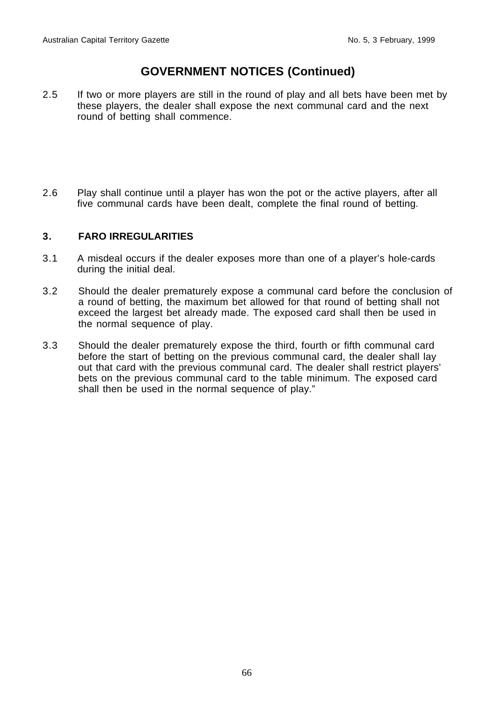- 2.5 If two or more players are still in the round of play and all bets have been met by these players, the dealer shall expose the next communal card and the next round of betting shall commence.
- 2.6 Play shall continue until a player has won the pot or the active players, after all five communal cards have been dealt, complete the final round of betting.

### **3. FARO IRREGULARITIES**

- 3.1 A misdeal occurs if the dealer exposes more than one of a player's hole-cards during the initial deal.
- 3.2 Should the dealer prematurely expose a communal card before the conclusion of a round of betting, the maximum bet allowed for that round of betting shall not exceed the largest bet already made. The exposed card shall then be used in the normal sequence of play.
- 3.3 Should the dealer prematurely expose the third, fourth or fifth communal card before the start of betting on the previous communal card, the dealer shall lay out that card with the previous communal card. The dealer shall restrict players' bets on the previous communal card to the table minimum. The exposed card shall then be used in the normal sequence of play."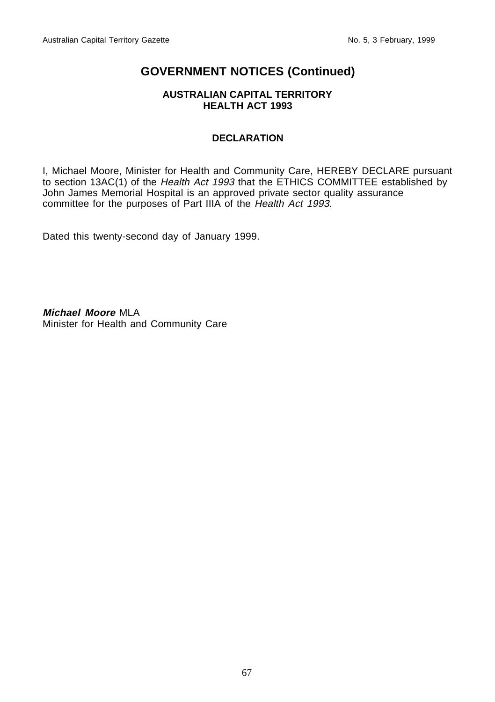#### **AUSTRALIAN CAPITAL TERRITORY HEALTH ACT 1993**

# **DECLARATION**

I, Michael Moore, Minister for Health and Community Care, HEREBY DECLARE pursuant to section 13AC(1) of the Health Act 1993 that the ETHICS COMMITTEE established by John James Memorial Hospital is an approved private sector quality assurance committee for the purposes of Part IIIA of the Health Act 1993.

Dated this twenty-second day of January 1999.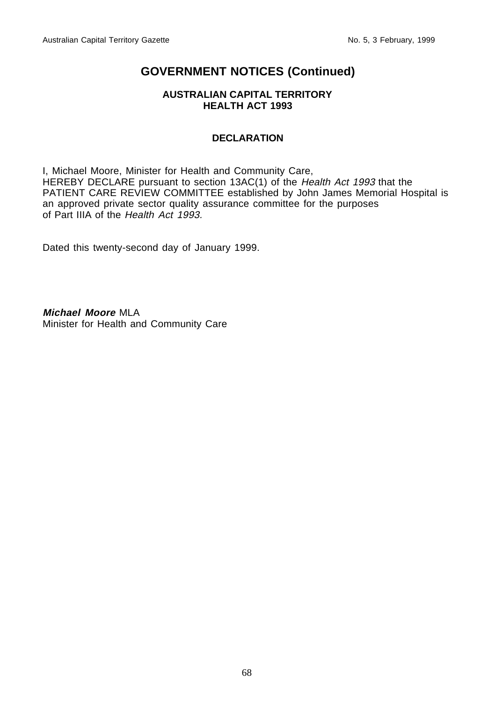#### **AUSTRALIAN CAPITAL TERRITORY HEALTH ACT 1993**

# **DECLARATION**

I, Michael Moore, Minister for Health and Community Care, HEREBY DECLARE pursuant to section 13AC(1) of the Health Act 1993 that the PATIENT CARE REVIEW COMMITTEE established by John James Memorial Hospital is an approved private sector quality assurance committee for the purposes of Part IIIA of the Health Act 1993.

Dated this twenty-second day of January 1999.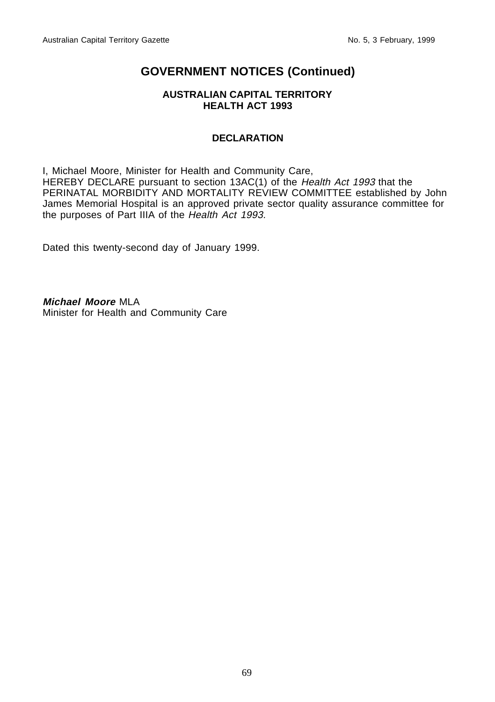#### **AUSTRALIAN CAPITAL TERRITORY HEALTH ACT 1993**

# **DECLARATION**

I, Michael Moore, Minister for Health and Community Care, HEREBY DECLARE pursuant to section 13AC(1) of the Health Act 1993 that the PERINATAL MORBIDITY AND MORTALITY REVIEW COMMITTEE established by John James Memorial Hospital is an approved private sector quality assurance committee for the purposes of Part IIIA of the Health Act 1993.

Dated this twenty-second day of January 1999.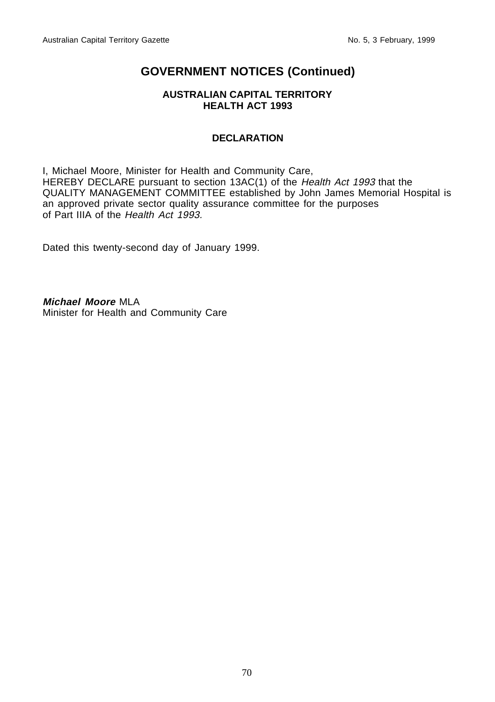#### **AUSTRALIAN CAPITAL TERRITORY HEALTH ACT 1993**

# **DECLARATION**

I, Michael Moore, Minister for Health and Community Care, HEREBY DECLARE pursuant to section 13AC(1) of the Health Act 1993 that the QUALITY MANAGEMENT COMMITTEE established by John James Memorial Hospital is an approved private sector quality assurance committee for the purposes of Part IIIA of the Health Act 1993.

Dated this twenty-second day of January 1999.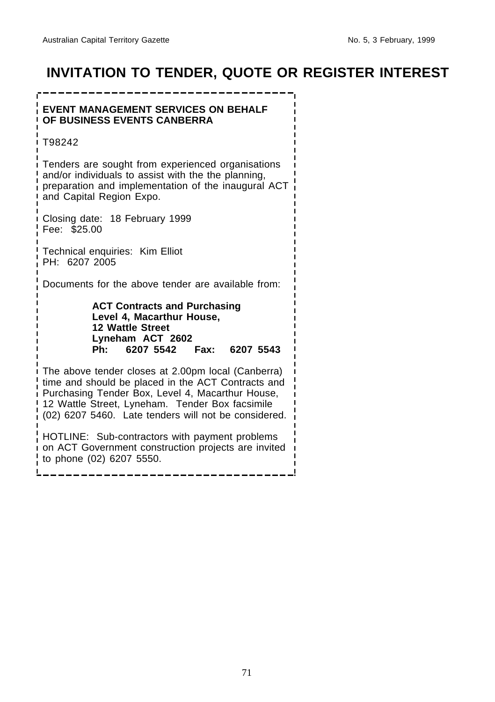# **INVITATION TO TENDER, QUOTE OR REGISTER INTEREST**

# **EVENT MANAGEMENT SERVICES ON BEHALF OF BUSINESS EVENTS CANBERRA**

-----------

T98242

Tenders are sought from experienced organisations and/or individuals to assist with the the planning, preparation and implementation of the inaugural ACT and Capital Region Expo.

Closing date: 18 February 1999 Fee: \$25.00

Technical enquiries: Kim Elliot PH: 6207 2005

Documents for the above tender are available from:

**ACT Contracts and Purchasing Level 4, Macarthur House, 12 Wattle Street Lyneham ACT 2602 Ph: 6207 5542 Fax: 6207 5543**

The above tender closes at 2.00pm local (Canberra) time and should be placed in the ACT Contracts and Purchasing Tender Box, Level 4, Macarthur House, 12 Wattle Street, Lyneham. Tender Box facsimile (02) 6207 5460. Late tenders will not be considered.

HOTLINE: Sub-contractors with payment problems on ACT Government construction projects are invited to phone (02) 6207 5550.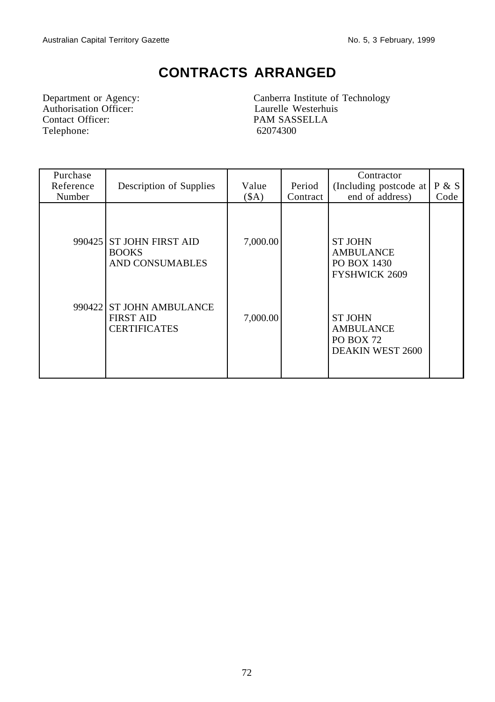# **CONTRACTS ARRANGED**

Department or Agency:<br>
Authorisation Officer:<br>
Contact Officer:<br>
PAM SASSELLA Telephone:

Canberra Institute of Technology PAM SASSELLA<br>62074300

| Purchase<br>Reference<br>Number | Description of Supplies                                            | Value<br>(SA) | Period<br>Contract | Contractor<br>(Including postcode at<br>end of address)                           | P & S<br>Code |
|---------------------------------|--------------------------------------------------------------------|---------------|--------------------|-----------------------------------------------------------------------------------|---------------|
|                                 | 990425 ST JOHN FIRST AID<br><b>BOOKS</b><br><b>AND CONSUMABLES</b> | 7,000.00      |                    | <b>ST JOHN</b><br><b>AMBULANCE</b><br>PO BOX 1430<br><b>FYSHWICK 2609</b>         |               |
|                                 | 990422 ST JOHN AMBULANCE<br><b>FIRST AID</b><br>CERTIFICATES       | 7,000.00      |                    | <b>ST JOHN</b><br><b>AMBULANCE</b><br><b>PO BOX 72</b><br><b>DEAKIN WEST 2600</b> |               |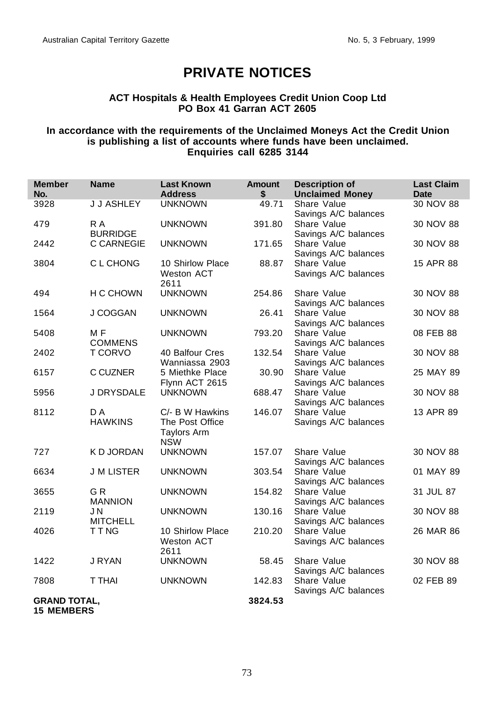# **PRIVATE NOTICES**

### **ACT Hospitals & Health Employees Credit Union Coop Ltd PO Box 41 Garran ACT 2605**

#### **In accordance with the requirements of the Unclaimed Moneys Act the Credit Union is publishing a list of accounts where funds have been unclaimed. Enquiries call 6285 3144**

| <b>Member</b><br>No.                     | <b>Name</b>                      | <b>Last Known</b><br><b>Address</b>                                    | <b>Amount</b><br>\$ | <b>Description of</b><br><b>Unclaimed Money</b> | <b>Last Claim</b><br><b>Date</b> |
|------------------------------------------|----------------------------------|------------------------------------------------------------------------|---------------------|-------------------------------------------------|----------------------------------|
| 3928                                     | <b>J J ASHLEY</b>                | <b>UNKNOWN</b>                                                         | 49.71               | Share Value<br>Savings A/C balances             | 30 NOV 88                        |
| 479                                      | R A<br><b>BURRIDGE</b>           | <b>UNKNOWN</b>                                                         | 391.80              | Share Value<br>Savings A/C balances             | 30 NOV 88                        |
| 2442                                     | <b>C CARNEGIE</b>                | <b>UNKNOWN</b>                                                         | 171.65              | Share Value<br>Savings A/C balances             | 30 NOV 88                        |
| 3804                                     | C L CHONG                        | 10 Shirlow Place<br><b>Weston ACT</b><br>2611                          | 88.87               | Share Value<br>Savings A/C balances             | 15 APR 88                        |
| 494                                      | H C CHOWN                        | <b>UNKNOWN</b>                                                         | 254.86              | Share Value<br>Savings A/C balances             | 30 NOV 88                        |
| 1564                                     | J COGGAN                         | <b>UNKNOWN</b>                                                         | 26.41               | Share Value<br>Savings A/C balances             | 30 NOV 88                        |
| 5408                                     | M <sub>F</sub><br><b>COMMENS</b> | <b>UNKNOWN</b>                                                         | 793.20              | Share Value<br>Savings A/C balances             | 08 FEB 88                        |
| 2402                                     | <b>T CORVO</b>                   | 40 Balfour Cres<br>Wanniassa 2903                                      | 132.54              | Share Value<br>Savings A/C balances             | 30 NOV 88                        |
| 6157                                     | C CUZNER                         | 5 Miethke Place<br>Flynn ACT 2615                                      | 30.90               | Share Value<br>Savings A/C balances             | 25 MAY 89                        |
| 5956                                     | J DRYSDALE                       | <b>UNKNOWN</b>                                                         | 688.47              | Share Value<br>Savings A/C balances             | 30 NOV 88                        |
| 8112                                     | D A<br><b>HAWKINS</b>            | C/- B W Hawkins<br>The Post Office<br><b>Taylors Arm</b><br><b>NSW</b> | 146.07              | Share Value<br>Savings A/C balances             | 13 APR 89                        |
| 727                                      | K D JORDAN                       | <b>UNKNOWN</b>                                                         | 157.07              | Share Value<br>Savings A/C balances             | 30 NOV 88                        |
| 6634                                     | <b>J M LISTER</b>                | <b>UNKNOWN</b>                                                         | 303.54              | Share Value<br>Savings A/C balances             | 01 MAY 89                        |
| 3655                                     | GR<br><b>MANNION</b>             | <b>UNKNOWN</b>                                                         | 154.82              | Share Value<br>Savings A/C balances             | 31 JUL 87                        |
| 2119                                     | JN<br><b>MITCHELL</b>            | <b>UNKNOWN</b>                                                         | 130.16              | Share Value<br>Savings A/C balances             | 30 NOV 88                        |
| 4026                                     | TT <sub>NG</sub>                 | 10 Shirlow Place<br><b>Weston ACT</b><br>2611                          | 210.20              | Share Value<br>Savings A/C balances             | 26 MAR 86                        |
| 1422                                     | J RYAN                           | <b>UNKNOWN</b>                                                         | 58.45               | Share Value<br>Savings A/C balances             | 30 NOV 88                        |
| 7808                                     | <b>T THAI</b>                    | <b>UNKNOWN</b>                                                         | 142.83              | Share Value<br>Savings A/C balances             | 02 FEB 89                        |
| <b>GRAND TOTAL,</b><br><b>15 MEMBERS</b> |                                  |                                                                        | 3824.53             |                                                 |                                  |